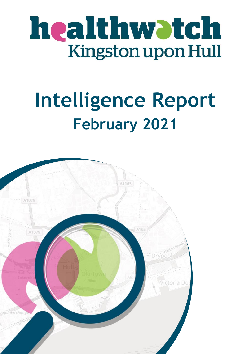

## **Intelligence Report February 2021**

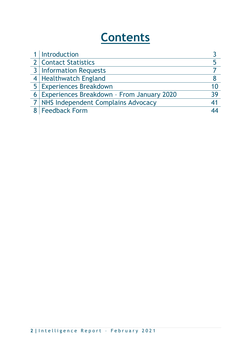## **Contents**

| 1   Introduction                            |    |
|---------------------------------------------|----|
| 2   Contact Statistics                      |    |
| <b>3</b> Information Requests               |    |
| 4 Healthwatch England                       |    |
| 5 Experiences Breakdown                     | 10 |
| 6 Experiences Breakdown - From January 2020 | 39 |
| 7   NHS Independent Complains Advocacy      | 41 |
| 8   Feedback Form                           |    |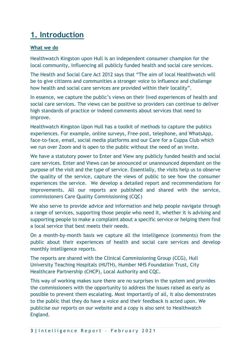## **1. Introduction**

#### **What we do**

Healthwatch Kingston upon Hull is an independent consumer champion for the local community, influencing all publicly funded health and social care services.

The Health and Social Care Act 2012 says that "The aim of local Healthwatch will be to give citizens and communities a stronger voice to influence and challenge how health and social care services are provided within their locality".

In essence, we capture the public's views on their lived experiences of health and social care services. The views can be positive so providers can continue to deliver high standards of practice or indeed comments about services that need to improve.

Healthwatch Kingston Upon Hull has a toolkit of methods to capture the publics experiences. For example, online surveys, Free-post, telephone, and WhatsApp, face-to-face, email, social media platforms and our Care for a Cuppa Club which we run over Zoom and is open to the public without the need of an invite.

We have a statutory power to Enter and View any publicly funded health and social care services. Enter and Views can be announced or unannounced dependant on the purpose of the visit and the type of service. Essentially, the visits help us to observe the quality of the service, capture the views of public to see how the consumer experiences the service. We develop a detailed report and recommendations for improvements. All our reports are published and shared with the service, commissioners Care Quality Commissioning (CQC)

We also serve to provide advice and information and help people navigate through a range of services, supporting those people who need it, whether it is advising and supporting people to make a complaint about a specific service or helping them find a local service that best meets their needs.

On a month-by-month basis we capture all the intelligence (comments) from the public about their experiences of health and social care services and develop monthly intelligence reports.

The reports are shared with the Clinical Commissioning Group (CCG), Hull University Teaching Hospitals (HUTH), Humber NHS Foundation Trust, City Healthcare Partnership (CHCP), Local Authority and CQC.

This way of working makes sure there are no surprises in the system and provides the commissioners with the opportunity to address the issues raised as early as possible to prevent them escalating. Most importantly of all, it also demonstrates to the public that they do have a voice and their feedback is acted upon. We publicise our reports on our website and a copy is also sent to Healthwatch England.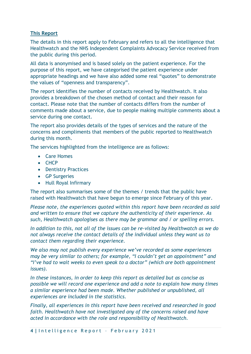#### **This Report**

The details in this report apply to February and refers to all the intelligence that Healthwatch and the NHS Independent Complaints Advocacy Service received from the public during this period.

All data is anonymised and is based solely on the patient experience. For the purpose of this report, we have categorised the patient experience under appropriate headings and we have also added some real "quotes" to demonstrate the values of "openness and transparency".

The report identifies the number of contacts received by Healthwatch. It also provides a breakdown of the chosen method of contact and their reason for contact. Please note that the number of contacts differs from the number of comments made about a service, due to people making multiple comments about a service during one contact.

The report also provides details of the types of services and the nature of the concerns and compliments that members of the public reported to Healthwatch during this month.

The services highlighted from the intelligence are as follows:

- Care Homes
- CHCP
- Dentistry Practices
- GP Surgeries
- Hull Royal Infirmary

The report also summarises some of the themes / trends that the public have raised with Healthwatch that have begun to emerge since February of this year.

*Please note, the experiences quoted within this report have been recorded as said and written to ensure that we capture the authenticity of their experience. As such, Healthwatch apologises as there may be grammar and / or spelling errors.*

*In addition to this, not all of the issues can be re-visited by Healthwatch as we do not always receive the contact details of the individual unless they want us to contact them regarding their experience.*

*We also may not publish every experience we've recorded as some experiences may be very similar to others; for example, "I couldn't get an appointment" and "I've had to wait weeks to even speak to a doctor" (which are both appointment issues).*

*In these instances, in order to keep this report as detailed but as concise as possible we will record one experience and add a note to explain how many times a similar experience had been made. Whether published or unpublished, all experiences are included in the statistics.*

*Finally, all experiences in this report have been received and researched in good faith. Healthwatch have not investigated any of the concerns raised and have acted in accordance with the role and responsibility of Healthwatch.*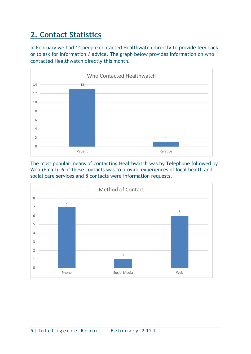## **2. Contact Statistics**

In February we had 14 people contacted Healthwatch directly to provide feedback or to ask for information / advice. The graph below provides information on who contacted Healthwatch directly this month.



The most popular means of contacting Healthwatch was by Telephone followed by Web (Email). 6 of these contacts was to provide experiences of local health and social care services and 8 contacts were information requests.

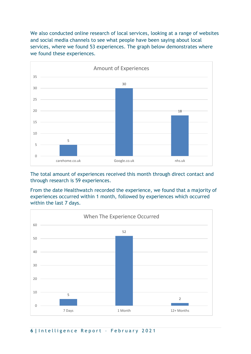We also conducted online research of local services, looking at a range of websites and social media channels to see what people have been saying about local services, where we found 53 experiences. The graph below demonstrates where we found these experiences.



The total amount of experiences received this month through direct contact and through research is 59 experiences.

From the date Healthwatch recorded the experience, we found that a majority of experiences occurred within 1 month, followed by experiences which occurred within the last 7 days.

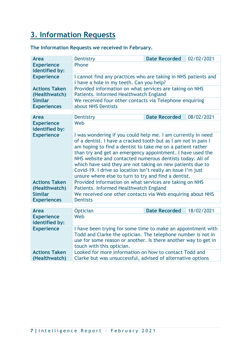## **3. Information Requests**

| The Information Requests we received in February. |  |  |  |  |
|---------------------------------------------------|--|--|--|--|
|---------------------------------------------------|--|--|--|--|

| <b>Area</b>                           | Dentistry                                                                                                                                                                                                                                                                                                                                                                                                                                                                                                     | <b>Date Recorded</b> | 02/02/2021 |  |
|---------------------------------------|---------------------------------------------------------------------------------------------------------------------------------------------------------------------------------------------------------------------------------------------------------------------------------------------------------------------------------------------------------------------------------------------------------------------------------------------------------------------------------------------------------------|----------------------|------------|--|
| <b>Experience</b><br>identified by:   | Phone                                                                                                                                                                                                                                                                                                                                                                                                                                                                                                         |                      |            |  |
| <b>Experience</b>                     | I cannot find any practices who are taking in NHS patients and<br>I have a hole in my teeth. Can you help?                                                                                                                                                                                                                                                                                                                                                                                                    |                      |            |  |
| <b>Actions Taken</b><br>(Healthwatch) | Provided information on what services are taking on NHS<br>Patients. Informed Healthwatch England                                                                                                                                                                                                                                                                                                                                                                                                             |                      |            |  |
| <b>Similar</b><br><b>Experiences</b>  | We received four other contacts via Telephone enquiring<br>about NHS Dentists                                                                                                                                                                                                                                                                                                                                                                                                                                 |                      |            |  |
|                                       |                                                                                                                                                                                                                                                                                                                                                                                                                                                                                                               |                      |            |  |
| <b>Area</b>                           | Dentistry                                                                                                                                                                                                                                                                                                                                                                                                                                                                                                     | <b>Date Recorded</b> | 08/02/2021 |  |
| <b>Experience</b><br>identified by:   | Web                                                                                                                                                                                                                                                                                                                                                                                                                                                                                                           |                      |            |  |
| <b>Experience</b>                     | I was wondering if you could help me. I am currently in need<br>of a dentist. I have a cracked tooth but as I am not in pain I<br>am hoping to find a dentist to take me on a patient rather<br>than try and get an emergency appointment. I have used the<br>NHS website and contacted numerous dentists today. All of<br>which have said they are not taking on new patients due to<br>Covid-19. I drive so location isn't really an issue I'm just<br>unsure where else to turn to try and find a dentist. |                      |            |  |
| <b>Actions Taken</b><br>(Healthwatch) | Provided information on what services are taking on NHS<br>Patients. Informed Healthwatch England                                                                                                                                                                                                                                                                                                                                                                                                             |                      |            |  |
| <b>Similar</b><br><b>Experiences</b>  | We received one other contacts via Web enquiring about NHS<br><b>Dentists</b>                                                                                                                                                                                                                                                                                                                                                                                                                                 |                      |            |  |
|                                       |                                                                                                                                                                                                                                                                                                                                                                                                                                                                                                               |                      |            |  |
| <b>Area</b>                           | <b>Optician</b>                                                                                                                                                                                                                                                                                                                                                                                                                                                                                               | <b>Date Recorded</b> | 18/02/2021 |  |
| <b>Experience</b><br>identified by:   | Web                                                                                                                                                                                                                                                                                                                                                                                                                                                                                                           |                      |            |  |
| <b>Experience</b>                     | I have been trying for some time to make an appointment with<br>Todd and Clarke the optician. The telephone number is not in<br>use for some reason or another. Is there another way to get in<br>touch with this optician.                                                                                                                                                                                                                                                                                   |                      |            |  |
| <b>Actions Taken</b><br>(Healthwatch) | Looked for more information on how to contact Todd and<br>Clarke but was unsuccessful, advised of alternative options                                                                                                                                                                                                                                                                                                                                                                                         |                      |            |  |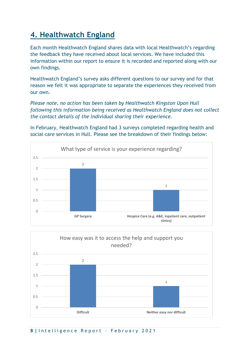## **4. Healthwatch England**

Each month Healthwatch England shares data with local Healthwatch's regarding the feedback they have received about local services. We have included this information within our report to ensure it is recorded and reported along with our own findings.

Healthwatch England's survey asks different questions to our survey and for that reason we felt it was appropriate to separate the experiences they received from our own.

*Please note, no action has been taken by Healthwatch Kingston Upon Hull following this information being received as Healthwatch England does not collect the contact details of the individual sharing their experience.* 

In February, Healthwatch England had 3 surveys completed regarding health and social care services in Hull. Please see the breakdown of their findings below:





**8 |** I n t e l l i g e n c e R e p o r t – F e b r u a r y 2 0 2 1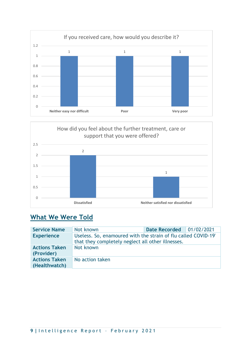



## **What We Were Told**

| <b>Service Name</b>                   | Not known                                                                                                           | Date Recorded   01/02/2021 |  |
|---------------------------------------|---------------------------------------------------------------------------------------------------------------------|----------------------------|--|
| <b>Experience</b>                     | Useless. So, enamoured with the strain of flu called COVID-19'<br>that they completely neglect all other illnesses. |                            |  |
| <b>Actions Taken</b><br>(Provider)    | Not known                                                                                                           |                            |  |
| <b>Actions Taken</b><br>(Healthwatch) | No action taken                                                                                                     |                            |  |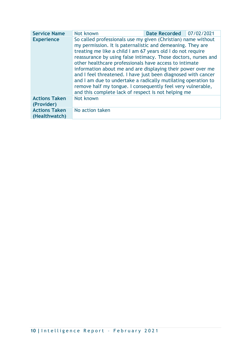| <b>Service Name</b>                   | Not known                                                                                                                                                                                                                                                                                                                                                                                                                                                                                                                                                                                                                                     | <b>Date Recorded</b> | 07/02/2021 |  |
|---------------------------------------|-----------------------------------------------------------------------------------------------------------------------------------------------------------------------------------------------------------------------------------------------------------------------------------------------------------------------------------------------------------------------------------------------------------------------------------------------------------------------------------------------------------------------------------------------------------------------------------------------------------------------------------------------|----------------------|------------|--|
| <b>Experience</b>                     | So called professionals use my given (Christian) name without<br>my permission. It is paternalistic and demeaning. They are<br>treating me like a child I am 67 years old I do not require<br>reassurance by using false intimacy. Those doctors, nurses and<br>other healthcare professionals have access to intimate<br>information about me and are displaying their power over me<br>and I feel threatened. I have just been diagnosed with cancer<br>and I am due to undertake a radically mutilating operation to<br>remove half my tongue. I consequently feel very vulnerable,<br>and this complete lack of respect is not helping me |                      |            |  |
| <b>Actions Taken</b><br>(Provider)    | Not known                                                                                                                                                                                                                                                                                                                                                                                                                                                                                                                                                                                                                                     |                      |            |  |
| <b>Actions Taken</b><br>(Healthwatch) | No action taken                                                                                                                                                                                                                                                                                                                                                                                                                                                                                                                                                                                                                               |                      |            |  |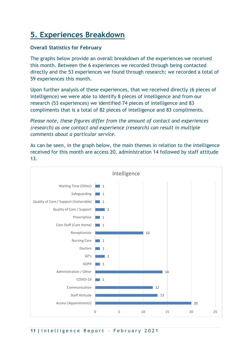## **5. Experiences Breakdown**

#### **Overall Statistics for February**

The graphs below provide an overall breakdown of the experiences we received this month. Between the 6 experiences we recorded through being contacted directly and the 53 experiences we found through research; we recorded a total of 59 experiences this month.

Upon further analysis of these experiences, that we received directly (6 pieces of intelligence) we were able to identify 8 pieces of intelligence and from our research (53 experiences) we identified 74 pieces of intelligence and 83 compliments that is a total of 82 pieces of intelligence and 83 compliments.

*Please note, these figures differ from the amount of contact and experiences (research) as one contact and experience (research) can result in multiple comments about a particular service.* 

As can be seen, in the graph below, the main themes in relation to the intelligence received for this month are access 20, administration 14 followed by staff attitude 13.

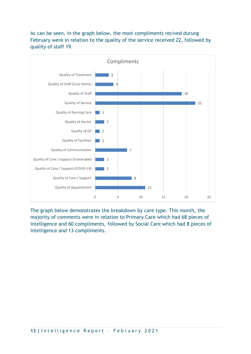#### As can be seen, in the graph below, the most compliments recived durung February were in relation to the quality of the service received 22, followed by quality of staff 19.



The graph below demonstrates the breakdown by care type. This month, the majority of comments were in relation to Primary Care which had 68 pieces of intelligence and 60 compliments, followed by Social Care which had 8 pieces of intelligence and 13 compliments.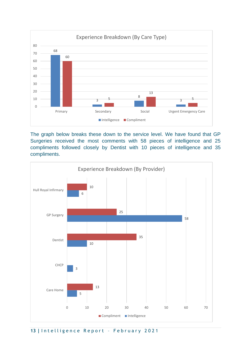

The graph below breaks these down to the service level. We have found that GP Surgeries received the most comments with 58 pieces of intelligence and 25 compliments followed closely by Dentist with 10 pieces of intelligence and 35 compliments.



13 | Intelligence Report - February 2021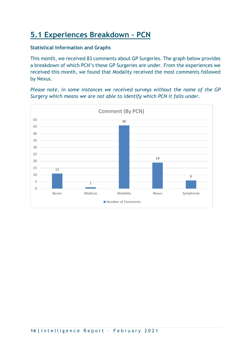## **5.1 Experiences Breakdown – PCN**

#### **Statistical Information and Graphs**

This month, we received 83 comments about GP Surgeries. The graph below provides a breakdown of which PCN's these GP Surgeries are under. From the experiences we received this month, we found that Modality received the most comments followed by Nexus.

*Please note, in some instances we received surveys without the name of the GP Surgery which means we are not able to identify which PCN it falls under.*

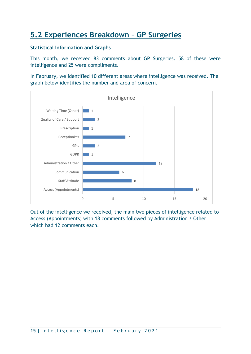## **5.2 Experiences Breakdown – GP Surgeries**

#### **Statistical Information and Graphs**

This month, we received 83 comments about GP Surgeries. 58 of these were intelligence and 25 were compliments.

In February, we identified 10 different areas where intelligence was received. The graph below identifies the number and area of concern.



Out of the intelligence we received, the main two pieces of intelligence related to Access (Appointments) with 18 comments followed by Administration / Other which had 12 comments each.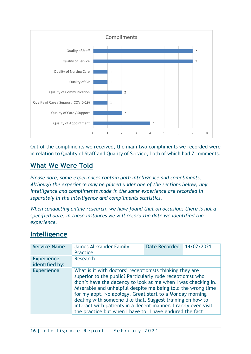

Out of the compliments we received, the main two compliments we recorded were in relation to Quality of Staff and Quality of Service, both of which had 7 comments.

## **What We Were Told**

*Please note, some experiences contain both intelligence and compliments. Although the experience may be placed under one of the sections below, any intelligence and compliments made in the same experience are recorded in separately in the intelligence and compliments statistics.*

*When conducting online research, we have found that on occasions there is not a specified date, in these instances we will record the date we identified the experience.*

## **Intelligence**

| <b>Service Name</b>                 | <b>James Alexander Family</b><br><b>Practice</b>         | Date Recorded                                                                                                                                                                                                                                                                                                                                                                                                                                       | 14/02/2021 |
|-------------------------------------|----------------------------------------------------------|-----------------------------------------------------------------------------------------------------------------------------------------------------------------------------------------------------------------------------------------------------------------------------------------------------------------------------------------------------------------------------------------------------------------------------------------------------|------------|
| <b>Experience</b><br>identified by: | <b>Research</b>                                          |                                                                                                                                                                                                                                                                                                                                                                                                                                                     |            |
| <b>Experience</b>                   | the practice but when I have to, I have endured the fact | What is it with doctors' receptionists thinking they are<br>superior to the public? Particularly rude receptionist who<br>didn't have the decency to look at me when I was checking in.<br>Miserable and unhelpful despite me being told the wrong time<br>for my appt. No apology. Great start to a Monday morning<br>dealing with someone like that. Suggest training on how to<br>interact with patients in a decent manner. I rarely even visit |            |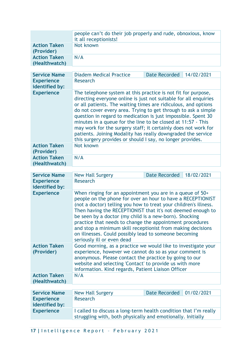|                                      | people can't do their job properly and rude, obnoxious, know<br>it all receptionists!                                                                                                                                                                                                                                                                                                                                                                                                                                                                                                                  |                      |            |
|--------------------------------------|--------------------------------------------------------------------------------------------------------------------------------------------------------------------------------------------------------------------------------------------------------------------------------------------------------------------------------------------------------------------------------------------------------------------------------------------------------------------------------------------------------------------------------------------------------------------------------------------------------|----------------------|------------|
| <b>Action Taken</b><br>(Provider)    | Not known                                                                                                                                                                                                                                                                                                                                                                                                                                                                                                                                                                                              |                      |            |
| <b>Action Taken</b><br>(Healthwatch) | N/A                                                                                                                                                                                                                                                                                                                                                                                                                                                                                                                                                                                                    |                      |            |
| <b>Service Name</b>                  | <b>Diadem Medical Practice</b>                                                                                                                                                                                                                                                                                                                                                                                                                                                                                                                                                                         | <b>Date Recorded</b> | 14/02/2021 |
| <b>Experience</b><br>identified by:  | <b>Research</b>                                                                                                                                                                                                                                                                                                                                                                                                                                                                                                                                                                                        |                      |            |
| <b>Experience</b>                    | The telephone system at this practice is not fit for purpose,<br>directing everyone online is just not suitable for all enquiries<br>or all patients. The waiting times are ridiculous, and options<br>do not cover every area. Trying to get through to ask a simple<br>question in regard to medication is just impossible. Spent 30<br>minutes in a queue for the line to be closed at 11:57 - This<br>may work for the surgery staff; it certainly does not work for<br>patients. Joining Modality has really downgraded the service<br>this surgery provides or should I say, no longer provides. |                      |            |
| <b>Action Taken</b><br>(Provider)    | Not known                                                                                                                                                                                                                                                                                                                                                                                                                                                                                                                                                                                              |                      |            |
| <b>Action Taken</b><br>(Healthwatch) | N/A                                                                                                                                                                                                                                                                                                                                                                                                                                                                                                                                                                                                    |                      |            |
| <b>Service Name</b>                  | <b>New Hall Surgery</b>                                                                                                                                                                                                                                                                                                                                                                                                                                                                                                                                                                                | <b>Date Recorded</b> | 18/02/2021 |
| <b>Experience</b><br>identified by:  | Research                                                                                                                                                                                                                                                                                                                                                                                                                                                                                                                                                                                               |                      |            |
| <b>Experience</b>                    | When ringing for an appointment you are in a queue of 50+<br>people on the phone for over an hour to have a RECEPTIONIST<br>(not a doctor) telling you how to treat your children's illness.<br>Then having the RECEPTIONIST that it's not deemed enough to<br>be seen by a doctor (my child is a new-born). Shocking<br>practice that needs to change the appointment procedures<br>and stop a minimum skill receptionist from making decisions<br>on illnesses. Could possibly lead to someone becoming<br>seriously ill or even dead                                                                |                      |            |
| <b>Action Taken</b><br>(Provider)    | Good morning, as a practice we would like to investigate your<br>experience, however we cannot do so as your comment is<br>anonymous. Please contact the practice by going to our<br>website and selecting 'Contact' to provide us with more<br>information. Kind regards, Patient Liaison Officer                                                                                                                                                                                                                                                                                                     |                      |            |
| <b>Action Taken</b><br>(Healthwatch) | N/A                                                                                                                                                                                                                                                                                                                                                                                                                                                                                                                                                                                                    |                      |            |
| <b>Service Name</b>                  | <b>New Hall Surgery</b>                                                                                                                                                                                                                                                                                                                                                                                                                                                                                                                                                                                | <b>Date Recorded</b> | 01/02/2021 |
| <b>Experience</b><br>identified by:  | <b>Research</b>                                                                                                                                                                                                                                                                                                                                                                                                                                                                                                                                                                                        |                      |            |
| <b>Experience</b>                    | I called to discuss a long-term health condition that I'm really<br>struggling with, both physically and emotionally. Initially                                                                                                                                                                                                                                                                                                                                                                                                                                                                        |                      |            |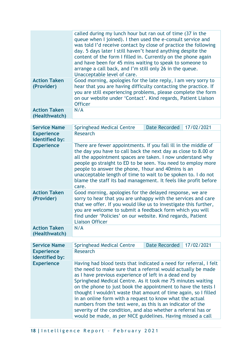|                                      | called during my lunch hour but ran out of time (37 in the<br>queue when I joined). I then used the e-consult service and<br>was told I'd receive contact by close of practice the following<br>day. 5 days later I still haven't heard anything despite the<br>content of the form I filled in. Currently on the phone again<br>and have been for 45 mins waiting to speak to someone to<br>arrange a call back, and I'm still only 26 in the queue.<br>Unacceptable level of care. |
|--------------------------------------|--------------------------------------------------------------------------------------------------------------------------------------------------------------------------------------------------------------------------------------------------------------------------------------------------------------------------------------------------------------------------------------------------------------------------------------------------------------------------------------|
| <b>Action Taken</b><br>(Provider)    | Good morning, apologies for the late reply, I am very sorry to<br>hear that you are having difficulty contacting the practice. If<br>you are still experiencing problems, please complete the form<br>on our website under 'Contact'. Kind regards, Patient Liaison<br><b>Officer</b>                                                                                                                                                                                                |
| <b>Action Taken</b><br>(Healthwatch) | N/A                                                                                                                                                                                                                                                                                                                                                                                                                                                                                  |

| <b>Service Name</b>                  | <b>Springhead Medical Centre</b>                                                                                                                                                                                                                                                                                                                                                                                                                                    | Date Recorded | 17/02/2021 |  |
|--------------------------------------|---------------------------------------------------------------------------------------------------------------------------------------------------------------------------------------------------------------------------------------------------------------------------------------------------------------------------------------------------------------------------------------------------------------------------------------------------------------------|---------------|------------|--|
| <b>Experience</b><br>identified by:  | <b>Research</b>                                                                                                                                                                                                                                                                                                                                                                                                                                                     |               |            |  |
| <b>Experience</b>                    | There are fewer appointments. If you fall ill in the middle of<br>the day you have to call back the next day as close to 8.00 or<br>all the appointment spaces are taken. I now understand why<br>people go straight to ED to be seen. You need to employ more<br>people to answer the phone, 1 hour and 40 mins is an<br>unacceptable length of time to wait to be spoken to. I do not<br>blame the staff its bad management. It feels like profit before<br>care. |               |            |  |
| <b>Action Taken</b><br>(Provider)    | Good morning, apologies for the delayed response, we are<br>sorry to hear that you are unhappy with the services and care<br>that we offer. If you would like us to investigate this further,<br>you are welcome to submit a feedback form which you will<br>find under 'Policies' on our website. Kind regards, Patient<br><b>Liaison Officer</b>                                                                                                                  |               |            |  |
| <b>Action Taken</b><br>(Healthwatch) | N/A                                                                                                                                                                                                                                                                                                                                                                                                                                                                 |               |            |  |

| <b>Service Name</b>                 | <b>Springhead Medical Centre</b>                            | <b>Date Recorded</b>                                                                                                                                                                                                                                                                                                                                                                                                                                                                                                                                                                      | 17/02/2021 |
|-------------------------------------|-------------------------------------------------------------|-------------------------------------------------------------------------------------------------------------------------------------------------------------------------------------------------------------------------------------------------------------------------------------------------------------------------------------------------------------------------------------------------------------------------------------------------------------------------------------------------------------------------------------------------------------------------------------------|------------|
| <b>Experience</b><br>identified by: | Research                                                    |                                                                                                                                                                                                                                                                                                                                                                                                                                                                                                                                                                                           |            |
| <b>Experience</b>                   | would be made, as per NICE guidelines. Having missed a call | Having had blood tests that indicated a need for referral, I felt<br>the need to make sure that a referral would actually be made<br>as I have previous experience of left in a dead end by<br>Springhead Medical Centre. As it took me 75 minutes waiting<br>on the phone to just book the appointment to have the tests I<br>thought I wouldn't waste that amount of time again, so I filled<br>in an online form with a request to know what the actual<br>numbers from the test were, as this is an indicator of the<br>severity of the condition, and also whether a referral has or |            |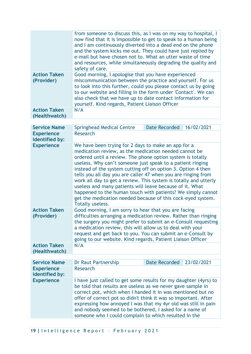|                                      | from someone to discuss this, as I was on my way to hospital, I<br>now find that it is impossible to get to speak to a human being<br>and I am continuously diverted into a dead end on the phone<br>and the system kicks me out. They could have just replied by<br>e-mail but have chosen not to. What an utter waste of time<br>and resources, while simultaneously degrading the quality and<br>safety of care. |
|--------------------------------------|---------------------------------------------------------------------------------------------------------------------------------------------------------------------------------------------------------------------------------------------------------------------------------------------------------------------------------------------------------------------------------------------------------------------|
| <b>Action Taken</b><br>(Provider)    | Good morning, I apologise that you have experienced<br>miscommunication between the practice and yourself. For us<br>to look into this further, could you please contact us by going<br>to our website and filling in the form under 'Contact'. We can<br>also check that we have up to date contact information for<br>yourself. Kind regards, Patient Liaison Officer                                             |
| <b>Action Taken</b><br>(Healthwatch) | N/A                                                                                                                                                                                                                                                                                                                                                                                                                 |

| <b>Service Name</b>                  | <b>Springhead Medical Centre</b>                                                                                                                                                                                                                                                                                                                                                                                                                                                                                                                                                                                                                            | <b>Date Recorded</b> | 16/02/2021 |
|--------------------------------------|-------------------------------------------------------------------------------------------------------------------------------------------------------------------------------------------------------------------------------------------------------------------------------------------------------------------------------------------------------------------------------------------------------------------------------------------------------------------------------------------------------------------------------------------------------------------------------------------------------------------------------------------------------------|----------------------|------------|
| <b>Experience</b><br>identified by:  | <b>Research</b>                                                                                                                                                                                                                                                                                                                                                                                                                                                                                                                                                                                                                                             |                      |            |
| <b>Experience</b>                    | We have been trying for 2 days to make an app for a<br>medication review, as the medication needed cannot be<br>ordered until a review. The phone option system is totally<br>useless. Why can't someone just speak to a patient ringing<br>instead of the system cutting off on option 3. Option 4 then<br>tells you all day you are caller 47 when you are ringing from<br>work all day to get a review. This system is totally and utterly<br>useless and many patients will leave because of it. What<br>happened to the human touch with patients? We simply cannot<br>get the medication needed because of this cock-eyed system.<br>Totally useless. |                      |            |
| <b>Action Taken</b><br>(Provider)    | Good morning, I am sorry to hear that you are facing<br>difficulties arranging a medication review. Rather than ringing<br>the surgery you might prefer to submit an e-Consult requesting<br>a medication review, this will allow us to deal with your<br>request and get back to you. You can submit an e-Consult by<br>going to our website. Kind regards, Patient Liaison Officer                                                                                                                                                                                                                                                                        |                      |            |
| <b>Action Taken</b><br>(Healthwatch) | N/A                                                                                                                                                                                                                                                                                                                                                                                                                                                                                                                                                                                                                                                         |                      |            |

| <b>Service Name</b>                 | Dr Raut Partnership                                                                                                                                                                                                                                                                                                                                                                                                                                     | Date Recorded 23/02/2021 |  |
|-------------------------------------|---------------------------------------------------------------------------------------------------------------------------------------------------------------------------------------------------------------------------------------------------------------------------------------------------------------------------------------------------------------------------------------------------------------------------------------------------------|--------------------------|--|
| <b>Experience</b><br>identified by: | Research                                                                                                                                                                                                                                                                                                                                                                                                                                                |                          |  |
| <b>Experience</b>                   | I have just called to get some results for my daughter (4yrs) to<br>be told that results are useless as we never gave sample in<br>correct pot, which when I handed it in was mentioned but no<br>offer of correct pot so didn't think it was so important. After<br>expressing how annoyed I was that my 4yr old was still in pain<br>and nobody seemed to be bothered, I asked for a name of<br>someone who I could complain to which resulted in the |                          |  |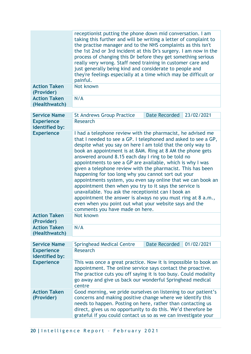|                                      | receptionist putting the phone down mid conversation. I am<br>taking this further and will be writing a letter of complaint to<br>the practise manager and to the NHS complaints as this isn't<br>the 1st 2nd or 3rd incident at this Dr's surgery. I am now in the<br>process of changing this Dr before they get something serious<br>really very wrong. Staff need training in customer care and<br>just generally being kind and considerate to people and<br>they're feelings especially at a time which may be difficult or<br>painful.                                                                                                                                                                                                                                                                                                       |                      |            |
|--------------------------------------|-----------------------------------------------------------------------------------------------------------------------------------------------------------------------------------------------------------------------------------------------------------------------------------------------------------------------------------------------------------------------------------------------------------------------------------------------------------------------------------------------------------------------------------------------------------------------------------------------------------------------------------------------------------------------------------------------------------------------------------------------------------------------------------------------------------------------------------------------------|----------------------|------------|
| <b>Action Taken</b><br>(Provider)    | Not known                                                                                                                                                                                                                                                                                                                                                                                                                                                                                                                                                                                                                                                                                                                                                                                                                                           |                      |            |
| <b>Action Taken</b><br>(Healthwatch) | N/A                                                                                                                                                                                                                                                                                                                                                                                                                                                                                                                                                                                                                                                                                                                                                                                                                                                 |                      |            |
| <b>Service Name</b>                  | <b>St Andrews Group Practice</b>                                                                                                                                                                                                                                                                                                                                                                                                                                                                                                                                                                                                                                                                                                                                                                                                                    | <b>Date Recorded</b> | 23/02/2021 |
| <b>Experience</b><br>identified by:  | <b>Research</b>                                                                                                                                                                                                                                                                                                                                                                                                                                                                                                                                                                                                                                                                                                                                                                                                                                     |                      |            |
| <b>Experience</b>                    | I had a telephone review with the pharmacist, he advised me<br>that I needed to see a GP. I telephoned and asked to see a GP,<br>despite what you say on here I am told that the only way to<br>book an appointment is at 8AM. Ring at 8 AM the phone gets<br>answered around 8.15 each day I ring to be told no<br>appointments to see a GP are available, which is why I was<br>given a telephone review with the pharmacist. This has been<br>happening for too long why you cannot sort out your<br>appointments system, you even say online that we can book an<br>appointment then when you try to it says the service is<br>unavailable. You ask the receptionist can I book an<br>appointment the answer is always no you must ring at 8 a.m.,<br>even when you point out what your website says and the<br>comments you have made on here. |                      |            |
| <b>Action Taken</b><br>(Provider)    | Not known                                                                                                                                                                                                                                                                                                                                                                                                                                                                                                                                                                                                                                                                                                                                                                                                                                           |                      |            |
| <b>Action Taken</b><br>(Healthwatch) | N/A                                                                                                                                                                                                                                                                                                                                                                                                                                                                                                                                                                                                                                                                                                                                                                                                                                                 |                      |            |
| <b>Service Name</b>                  | <b>Springhead Medical Centre</b>                                                                                                                                                                                                                                                                                                                                                                                                                                                                                                                                                                                                                                                                                                                                                                                                                    | <b>Date Recorded</b> | 01/02/2021 |
| <b>Experience</b><br>identified by:  | <b>Research</b>                                                                                                                                                                                                                                                                                                                                                                                                                                                                                                                                                                                                                                                                                                                                                                                                                                     |                      |            |
| <b>Experience</b>                    | This was once a great practice. Now it is impossible to book an<br>appointment. The online service says contact the proactive.<br>The practice cuts you off saying it is too busy. Could modality<br>go away and give us back our wonderful Springhead medical<br>centre                                                                                                                                                                                                                                                                                                                                                                                                                                                                                                                                                                            |                      |            |
| <b>Action Taken</b>                  | Good morning, we pride ourselves on listening to our patient's                                                                                                                                                                                                                                                                                                                                                                                                                                                                                                                                                                                                                                                                                                                                                                                      |                      |            |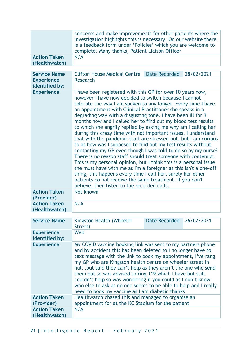|                                     | concerns and make improvements for other patients where the<br>investigation highlights this is necessary. On our website there<br>is a feedback form under 'Policies' which you are welcome to<br>complete. Many thanks, Patient Liaison Officer                                                                                                                                                                                                                                                                                                                                                                                                                                                                                                                                                                                                                                                                                                                                                                                                                                                            |                      |            |
|-------------------------------------|--------------------------------------------------------------------------------------------------------------------------------------------------------------------------------------------------------------------------------------------------------------------------------------------------------------------------------------------------------------------------------------------------------------------------------------------------------------------------------------------------------------------------------------------------------------------------------------------------------------------------------------------------------------------------------------------------------------------------------------------------------------------------------------------------------------------------------------------------------------------------------------------------------------------------------------------------------------------------------------------------------------------------------------------------------------------------------------------------------------|----------------------|------------|
| <b>Action Taken</b>                 | N/A                                                                                                                                                                                                                                                                                                                                                                                                                                                                                                                                                                                                                                                                                                                                                                                                                                                                                                                                                                                                                                                                                                          |                      |            |
| (Healthwatch)                       |                                                                                                                                                                                                                                                                                                                                                                                                                                                                                                                                                                                                                                                                                                                                                                                                                                                                                                                                                                                                                                                                                                              |                      |            |
|                                     |                                                                                                                                                                                                                                                                                                                                                                                                                                                                                                                                                                                                                                                                                                                                                                                                                                                                                                                                                                                                                                                                                                              |                      |            |
| <b>Service Name</b>                 | <b>Clifton House Medical Centre</b>                                                                                                                                                                                                                                                                                                                                                                                                                                                                                                                                                                                                                                                                                                                                                                                                                                                                                                                                                                                                                                                                          | <b>Date Recorded</b> | 28/02/2021 |
| <b>Experience</b>                   | Research                                                                                                                                                                                                                                                                                                                                                                                                                                                                                                                                                                                                                                                                                                                                                                                                                                                                                                                                                                                                                                                                                                     |                      |            |
| identified by:                      |                                                                                                                                                                                                                                                                                                                                                                                                                                                                                                                                                                                                                                                                                                                                                                                                                                                                                                                                                                                                                                                                                                              |                      |            |
| <b>Experience</b>                   | I have been registered with this GP for over 10 years now,<br>however I have now decided to switch because I cannot<br>tolerate the way I am spoken to any longer. Every time I have<br>an appointment with Clinical Practitioner she speaks in a<br>degrading way with a disgusting tone. I have been ill for 3<br>months now and I called her to find out my blood test results<br>to which she angrily replied by asking me why am I calling her<br>during this crazy time with not important issues, I understand<br>that with the pandemic staff are stressed out, but I am curious<br>to as how was I supposed to find out my test results without<br>contacting my GP even though I was told to do so by my nurse?<br>There is no reason staff should treat someone with contempt.<br>This is my personal opinion, but I think this is a personal issue<br>she must have with me as I'm a foreigner as this isn't a one-off<br>thing, this happens every time I call her, surely her other<br>patients do not receive the same treatment. If you don't<br>believe, then listen to the recorded calls. |                      |            |
| <b>Action Taken</b><br>(Provider)   | Not known                                                                                                                                                                                                                                                                                                                                                                                                                                                                                                                                                                                                                                                                                                                                                                                                                                                                                                                                                                                                                                                                                                    |                      |            |
| <b>Action Taken</b>                 | N/A                                                                                                                                                                                                                                                                                                                                                                                                                                                                                                                                                                                                                                                                                                                                                                                                                                                                                                                                                                                                                                                                                                          |                      |            |
| (Healthwatch)                       |                                                                                                                                                                                                                                                                                                                                                                                                                                                                                                                                                                                                                                                                                                                                                                                                                                                                                                                                                                                                                                                                                                              |                      |            |
|                                     |                                                                                                                                                                                                                                                                                                                                                                                                                                                                                                                                                                                                                                                                                                                                                                                                                                                                                                                                                                                                                                                                                                              |                      |            |
| <b>Service Name</b>                 | Kingston Health (Wheeler<br>Street)                                                                                                                                                                                                                                                                                                                                                                                                                                                                                                                                                                                                                                                                                                                                                                                                                                                                                                                                                                                                                                                                          | <b>Date Recorded</b> | 26/02/2021 |
| <b>Experience</b><br>identified by: | Web                                                                                                                                                                                                                                                                                                                                                                                                                                                                                                                                                                                                                                                                                                                                                                                                                                                                                                                                                                                                                                                                                                          |                      |            |
| <b>Experience</b>                   | My COVID vaccine booking link was sent to my partners phone<br>and by accident this has been deleted so I no longer have to<br>text message with the link to book my appointment, I've rang<br>my GP who are Kingston health centre on wheeler street in<br>hull, but said they can't help as they aren't the one who send<br>them out so was advised to ring 119 which I have but still<br>couldn't help so was wondering if you could as I don't know<br>who else to ask as no one seems to be able to help and I really<br>need to book my vaccine as I am diabetic thanks                                                                                                                                                                                                                                                                                                                                                                                                                                                                                                                                |                      |            |
| <b>Action Taken</b>                 | Healthwatch chased this and managed to organise an                                                                                                                                                                                                                                                                                                                                                                                                                                                                                                                                                                                                                                                                                                                                                                                                                                                                                                                                                                                                                                                           |                      |            |
| (Provider)                          | appointment for at the KC Stadium for the patient                                                                                                                                                                                                                                                                                                                                                                                                                                                                                                                                                                                                                                                                                                                                                                                                                                                                                                                                                                                                                                                            |                      |            |
| <b>Action Taken</b>                 | N/A                                                                                                                                                                                                                                                                                                                                                                                                                                                                                                                                                                                                                                                                                                                                                                                                                                                                                                                                                                                                                                                                                                          |                      |            |
| (Healthwatch)                       |                                                                                                                                                                                                                                                                                                                                                                                                                                                                                                                                                                                                                                                                                                                                                                                                                                                                                                                                                                                                                                                                                                              |                      |            |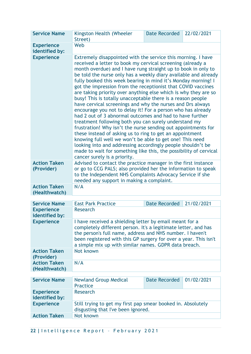| <b>Service Name</b>                  | Kingston Health (Wheeler<br>Street)                                                                                                                                                                                                                                                                                                                                                                                                                                                                                                                                                                                                                                                                                                                                                                                                                                                                                                                                                                                                                                                                                                              | <b>Date Recorded</b> | 22/02/2021 |
|--------------------------------------|--------------------------------------------------------------------------------------------------------------------------------------------------------------------------------------------------------------------------------------------------------------------------------------------------------------------------------------------------------------------------------------------------------------------------------------------------------------------------------------------------------------------------------------------------------------------------------------------------------------------------------------------------------------------------------------------------------------------------------------------------------------------------------------------------------------------------------------------------------------------------------------------------------------------------------------------------------------------------------------------------------------------------------------------------------------------------------------------------------------------------------------------------|----------------------|------------|
| <b>Experience</b><br>identified by:  | Web                                                                                                                                                                                                                                                                                                                                                                                                                                                                                                                                                                                                                                                                                                                                                                                                                                                                                                                                                                                                                                                                                                                                              |                      |            |
| <b>Experience</b>                    | Extremely disappointed with the service this morning. I have<br>received a letter to book my cervical screening (already a<br>month overdue) and I have rung straight up to book in only to<br>be told the nurse only has a weekly diary available and already<br>fully booked this week bearing in mind it's Monday morning! I<br>got the impression from the receptionist that COVID vaccines<br>are taking priority over anything else which is why they are so<br>busy! This is totally unacceptable there is a reason people<br>have cervical screenings and why the nurses and Drs always<br>encourage you not to delay it! For a person who has already<br>had 2 out of 3 abnormal outcomes and had to have further<br>treatment following both you can surely understand my<br>frustration! Why isn't the nurse sending out appointments for<br>these instead of asking us to ring to get an appointment<br>knowing full well we won't be able to get one! This need<br>looking into and addressing accordingly people shouldn't be<br>made to wait for something like this, the possibility of cervical<br>cancer surely is a priority. |                      |            |
| <b>Action Taken</b><br>(Provider)    | Advised to contact the practice manager in the first instance<br>or go to CCG PALS; also provided her the information to speak<br>to the Independent NHS Complaints Advocacy Service if she<br>needed any support in making a complaint.                                                                                                                                                                                                                                                                                                                                                                                                                                                                                                                                                                                                                                                                                                                                                                                                                                                                                                         |                      |            |
| <b>Action Taken</b><br>(Healthwatch) | N/A                                                                                                                                                                                                                                                                                                                                                                                                                                                                                                                                                                                                                                                                                                                                                                                                                                                                                                                                                                                                                                                                                                                                              |                      |            |
| <b>Service Name</b>                  | <b>East Park Practice</b>                                                                                                                                                                                                                                                                                                                                                                                                                                                                                                                                                                                                                                                                                                                                                                                                                                                                                                                                                                                                                                                                                                                        | <b>Date Recorded</b> | 21/02/2021 |
| <b>Experience</b><br>identified by:  | <b>Research</b>                                                                                                                                                                                                                                                                                                                                                                                                                                                                                                                                                                                                                                                                                                                                                                                                                                                                                                                                                                                                                                                                                                                                  |                      |            |
| <b>Experience</b>                    | I have received a shielding letter by email meant for a<br>completely different person. It's a legitimate letter, and has<br>the person's full name, address and NHS number. I haven't<br>been registered with this GP surgery for over a year. This isn't<br>a simple mix up with similar names. GDPR data breach.                                                                                                                                                                                                                                                                                                                                                                                                                                                                                                                                                                                                                                                                                                                                                                                                                              |                      |            |
| <b>Action Taken</b><br>(Provider)    | Not known                                                                                                                                                                                                                                                                                                                                                                                                                                                                                                                                                                                                                                                                                                                                                                                                                                                                                                                                                                                                                                                                                                                                        |                      |            |
| <b>Action Taken</b><br>(Healthwatch) | N/A                                                                                                                                                                                                                                                                                                                                                                                                                                                                                                                                                                                                                                                                                                                                                                                                                                                                                                                                                                                                                                                                                                                                              |                      |            |
| <b>Service Name</b>                  | <b>Newland Group Medical</b><br><b>Practice</b>                                                                                                                                                                                                                                                                                                                                                                                                                                                                                                                                                                                                                                                                                                                                                                                                                                                                                                                                                                                                                                                                                                  | <b>Date Recorded</b> | 01/02/2021 |
| <b>Experience</b><br>identified by:  | Research                                                                                                                                                                                                                                                                                                                                                                                                                                                                                                                                                                                                                                                                                                                                                                                                                                                                                                                                                                                                                                                                                                                                         |                      |            |
| <b>Experience</b>                    | Still trying to get my first pap smear booked in. Absolutely<br>disgusting that I've been ignored.                                                                                                                                                                                                                                                                                                                                                                                                                                                                                                                                                                                                                                                                                                                                                                                                                                                                                                                                                                                                                                               |                      |            |
| <b>Action Taken</b>                  | Not known                                                                                                                                                                                                                                                                                                                                                                                                                                                                                                                                                                                                                                                                                                                                                                                                                                                                                                                                                                                                                                                                                                                                        |                      |            |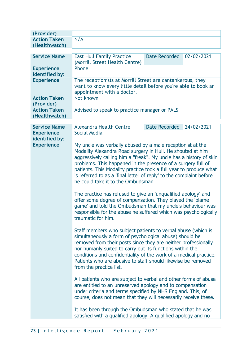| (Provider)                           |                                                                                                                                                                                                                                                                                                                                                                                                                                                                                                                                                                                                                                                                                                                                       |                      |            |
|--------------------------------------|---------------------------------------------------------------------------------------------------------------------------------------------------------------------------------------------------------------------------------------------------------------------------------------------------------------------------------------------------------------------------------------------------------------------------------------------------------------------------------------------------------------------------------------------------------------------------------------------------------------------------------------------------------------------------------------------------------------------------------------|----------------------|------------|
| <b>Action Taken</b><br>(Healthwatch) | N/A                                                                                                                                                                                                                                                                                                                                                                                                                                                                                                                                                                                                                                                                                                                                   |                      |            |
| <b>Service Name</b>                  | <b>East Hull Family Practice</b><br>(Morrill Street Health Centre)                                                                                                                                                                                                                                                                                                                                                                                                                                                                                                                                                                                                                                                                    | <b>Date Recorded</b> | 02/02/2021 |
| <b>Experience</b><br>identified by:  | Phone                                                                                                                                                                                                                                                                                                                                                                                                                                                                                                                                                                                                                                                                                                                                 |                      |            |
| <b>Experience</b>                    | The receptionists at Morrill Street are cantankerous, they<br>want to know every little detail before you're able to book an<br>appointment with a doctor.                                                                                                                                                                                                                                                                                                                                                                                                                                                                                                                                                                            |                      |            |
| <b>Action Taken</b><br>(Provider)    | Not known                                                                                                                                                                                                                                                                                                                                                                                                                                                                                                                                                                                                                                                                                                                             |                      |            |
| <b>Action Taken</b><br>(Healthwatch) | Advised to speak to practice manager or PALS                                                                                                                                                                                                                                                                                                                                                                                                                                                                                                                                                                                                                                                                                          |                      |            |
| <b>Service Name</b>                  | <b>Alexandra Health Centre</b>                                                                                                                                                                                                                                                                                                                                                                                                                                                                                                                                                                                                                                                                                                        | <b>Date Recorded</b> | 24/02/2021 |
| <b>Experience</b><br>identified by:  | <b>Social Media</b>                                                                                                                                                                                                                                                                                                                                                                                                                                                                                                                                                                                                                                                                                                                   |                      |            |
| <b>Experience</b>                    | My uncle was verbally abused by a male receptionist at the<br>Modality Alexandra Road surgery in Hull. He shouted at him<br>aggressively calling him a "freak". My uncle has a history of skin<br>problems. This happened in the presence of a surgery full of<br>patients. This Modality practice took a full year to produce what<br>is referred to as a 'final letter of reply' to the complaint before<br>he could take it to the Ombudsman.<br>The practice has refused to give an 'unqualified apology' and<br>offer some degree of compensation. They played the 'blame<br>game' and told the Ombudsman that my uncle's behaviour was<br>responsible for the abuse he suffered which was psychologically<br>traumatic for him. |                      |            |
|                                      | Staff members who subject patients to verbal abuse (which is<br>simultaneously a form of psychological abuse) should be<br>removed from their posts since they are neither professionally<br>nor humanly suited to carry out its functions within the<br>conditions and confidentiality of the work of a medical practice.<br>Patients who are abusive to staff should likewise be removed<br>from the practice list.                                                                                                                                                                                                                                                                                                                 |                      |            |
|                                      | All patients who are subject to verbal and other forms of abuse<br>are entitled to an unreserved apology and to compensation<br>under criteria and terms specified by NHS England. This, of<br>course, does not mean that they will necessarily receive these.                                                                                                                                                                                                                                                                                                                                                                                                                                                                        |                      |            |
|                                      | It has been through the Ombudsman who stated that he was<br>satisfied with a qualified apology. A qualified apology and no                                                                                                                                                                                                                                                                                                                                                                                                                                                                                                                                                                                                            |                      |            |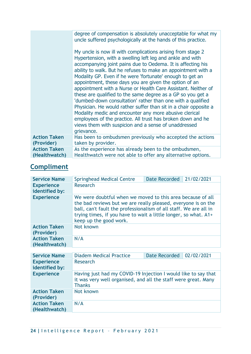|                                      | degree of compensation is absolutely unacceptable for what my<br>uncle suffered psychologically at the hands of this practice.                                                                                                                                                                                                                                                                                                                                                                                                                                                                                                                                                                                                                                                                                                                    |
|--------------------------------------|---------------------------------------------------------------------------------------------------------------------------------------------------------------------------------------------------------------------------------------------------------------------------------------------------------------------------------------------------------------------------------------------------------------------------------------------------------------------------------------------------------------------------------------------------------------------------------------------------------------------------------------------------------------------------------------------------------------------------------------------------------------------------------------------------------------------------------------------------|
|                                      | My uncle is now ill with complications arising from stage 2<br>Hypertension, with a swelling left leg and ankle and with<br>accompanying joint pains due to Oedema. It is affecting his<br>ability to walk. But he refuses to make an appointment with a<br>Modality GP. Even if he were 'fortunate' enough to get an<br>appointment, these days you are given the option of an<br>appointment with a Nurse or Health Care Assistant. Neither of<br>these are qualified to the same degree as a GP so you get a<br>'dumbed-down consultation' rather than one with a qualified<br>Physician. He would rather suffer than sit in a chair opposite a<br>Modality medic and encounter any more abusive clerical<br>employees of the practice. All trust has broken down and he<br>views them with suspicion and a sense of unaddressed<br>grievance. |
| <b>Action Taken</b><br>(Provider)    | Has been to ombudsmen previously who accepted the actions<br>taken by provider.                                                                                                                                                                                                                                                                                                                                                                                                                                                                                                                                                                                                                                                                                                                                                                   |
| <b>Action Taken</b><br>(Healthwatch) | As the experience has already been to the ombudsmen,<br>Healthwatch were not able to offer any alternative options.                                                                                                                                                                                                                                                                                                                                                                                                                                                                                                                                                                                                                                                                                                                               |

## **Compliment**

| <b>Service Name</b>                  | Springhead Medical Centre                                                                                                                                                                                                                                                                     | Date Recorded | 21/02/2021 |
|--------------------------------------|-----------------------------------------------------------------------------------------------------------------------------------------------------------------------------------------------------------------------------------------------------------------------------------------------|---------------|------------|
| <b>Experience</b><br>identified by:  | <b>Research</b>                                                                                                                                                                                                                                                                               |               |            |
| <b>Experience</b>                    | We were doubtful when we moved to this area because of all<br>the bad reviews but we are really pleased, everyone is on the<br>ball, can't fault the professionalism of all staff. We are all in<br>trying times, if you have to wait a little longer, so what. A1+<br>keep up the good work. |               |            |
| <b>Action Taken</b><br>(Provider)    | Not known                                                                                                                                                                                                                                                                                     |               |            |
| <b>Action Taken</b><br>(Healthwatch) | N/A                                                                                                                                                                                                                                                                                           |               |            |
|                                      |                                                                                                                                                                                                                                                                                               |               |            |

| <b>Service Name</b>                  | <b>Diadem Medical Practice</b>                                                                                                                    | Date Recorded   02/02/2021 |  |
|--------------------------------------|---------------------------------------------------------------------------------------------------------------------------------------------------|----------------------------|--|
| <b>Experience</b><br>identified by:  | Research                                                                                                                                          |                            |  |
| <b>Experience</b>                    | Having just had my COVID-19 Injection I would like to say that<br>it was very well organised, and all the staff were great. Many<br><b>Thanks</b> |                            |  |
| <b>Action Taken</b><br>(Provider)    | Not known                                                                                                                                         |                            |  |
| <b>Action Taken</b><br>(Healthwatch) | N/A                                                                                                                                               |                            |  |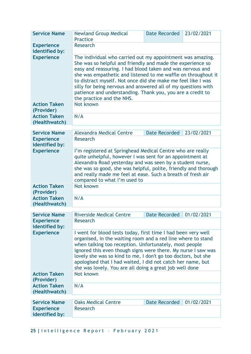| <b>Service Name</b>                  | <b>Newland Group Medical</b><br><b>Practice</b>                                                                                                                                                                                                                                                                                                                                                                                                                                     | <b>Date Recorded</b> | 23/02/2021 |
|--------------------------------------|-------------------------------------------------------------------------------------------------------------------------------------------------------------------------------------------------------------------------------------------------------------------------------------------------------------------------------------------------------------------------------------------------------------------------------------------------------------------------------------|----------------------|------------|
| <b>Experience</b><br>identified by:  | <b>Research</b>                                                                                                                                                                                                                                                                                                                                                                                                                                                                     |                      |            |
| <b>Experience</b>                    | The individual who carried out my appointment was amazing.<br>She was so helpful and friendly and made the experience so<br>easy and reassuring. I had blood taken and was nervous and<br>she was empathetic and listened to me waffle on throughout it<br>to distract myself. Not once did she make me feel like I was<br>silly for being nervous and answered all of my questions with<br>patience and understanding. Thank you, you are a credit to<br>the practice and the NHS. |                      |            |
| <b>Action Taken</b><br>(Provider)    | Not known                                                                                                                                                                                                                                                                                                                                                                                                                                                                           |                      |            |
| <b>Action Taken</b><br>(Healthwatch) | N/A                                                                                                                                                                                                                                                                                                                                                                                                                                                                                 |                      |            |
| <b>Service Name</b>                  | <b>Alexandra Medical Centre</b>                                                                                                                                                                                                                                                                                                                                                                                                                                                     | <b>Date Recorded</b> | 23/02/2021 |
| <b>Experience</b><br>identified by:  | <b>Research</b>                                                                                                                                                                                                                                                                                                                                                                                                                                                                     |                      |            |
| <b>Experience</b>                    | I'm registered at Springhead Medical Centre who are really<br>quite unhelpful, however I was sent for an appointment at<br>Alexandra Road yesterday and was seen by a student nurse,<br>she was so good, she was helpful, polite, friendly and thorough<br>and really made me feel at ease. Such a breath of fresh air<br>compared to what I'm used to                                                                                                                              |                      |            |
| <b>Action Taken</b><br>(Provider)    | Not known                                                                                                                                                                                                                                                                                                                                                                                                                                                                           |                      |            |
| <b>Action Taken</b><br>(Healthwatch) | N/A                                                                                                                                                                                                                                                                                                                                                                                                                                                                                 |                      |            |
| <b>Service Name</b>                  | <b>Riverside Medical Centre</b>                                                                                                                                                                                                                                                                                                                                                                                                                                                     | <b>Date Recorded</b> | 01/02/2021 |
| <b>Experience</b><br>identified by:  | <b>Research</b>                                                                                                                                                                                                                                                                                                                                                                                                                                                                     |                      |            |
| <b>Experience</b>                    | I went for blood tests today, first time I had been very well<br>organised, in the waiting room and a red line where to stand<br>when talking too reception. Unfortunately, most people<br>ignored this even though signs were there. My nurse I saw was<br>lovely she was so kind to me, I don't go too doctors, but she<br>apologised that I had waited, I did not catch her name, but<br>she was lovely. You are all doing a great job well done                                 |                      |            |
| <b>Action Taken</b><br>(Provider)    | Not known                                                                                                                                                                                                                                                                                                                                                                                                                                                                           |                      |            |
| <b>Action Taken</b><br>(Healthwatch) | N/A                                                                                                                                                                                                                                                                                                                                                                                                                                                                                 |                      |            |
| <b>Service Name</b>                  | <b>Oaks Medical Centre</b>                                                                                                                                                                                                                                                                                                                                                                                                                                                          | <b>Date Recorded</b> | 01/02/2021 |
| <b>Experience</b>                    | <b>Research</b>                                                                                                                                                                                                                                                                                                                                                                                                                                                                     |                      |            |
| identified by:                       |                                                                                                                                                                                                                                                                                                                                                                                                                                                                                     |                      |            |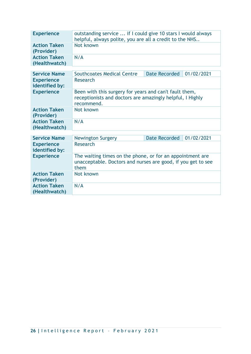| <b>Experience</b>                    | outstanding service  if I could give 10 stars I would always<br>helpful, always polite, you are all a credit to the NHS           |                      |            |
|--------------------------------------|-----------------------------------------------------------------------------------------------------------------------------------|----------------------|------------|
| <b>Action Taken</b><br>(Provider)    | Not known                                                                                                                         |                      |            |
| <b>Action Taken</b><br>(Healthwatch) | N/A                                                                                                                               |                      |            |
|                                      |                                                                                                                                   |                      |            |
| <b>Service Name</b>                  | Southcoates Medical Centre                                                                                                        | Date Recorded        | 01/02/2021 |
| <b>Experience</b><br>identified by:  | <b>Research</b>                                                                                                                   |                      |            |
| <b>Experience</b>                    | Been with this surgery for years and can't fault them,<br>receptionists and doctors are amazingly helpful, I Highly<br>recommend. |                      |            |
| <b>Action Taken</b><br>(Provider)    | Not known                                                                                                                         |                      |            |
| <b>Action Taken</b><br>(Healthwatch) | N/A                                                                                                                               |                      |            |
|                                      |                                                                                                                                   |                      |            |
| <b>Service Name</b>                  | <b>Newington Surgery</b>                                                                                                          | <b>Date Recorded</b> | 01/02/2021 |
| <b>Experience</b><br>identified by:  | Research                                                                                                                          |                      |            |
| <b>Experience</b>                    | The waiting times on the phone, or for an appointment are<br>unacceptable. Doctors and nurses are good, if you get to see<br>them |                      |            |
| <b>Action Taken</b><br>(Provider)    | Not known                                                                                                                         |                      |            |
| <b>Action Taken</b><br>(Healthwatch) | N/A                                                                                                                               |                      |            |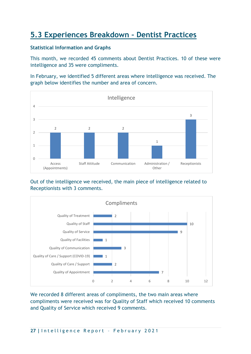## **5.3 Experiences Breakdown – Dentist Practices**

#### **Statistical Information and Graphs**

This month, we recorded 45 comments about Dentist Practices. 10 of these were intelligence and 35 were compliments.

In February, we identified 5 different areas where intelligence was received. The graph below identifies the number and area of concern.







We recorded 8 different areas of compliments, the two main areas where compliments were received was for Quality of Staff which received 10 comments and Quality of Service which received 9 comments.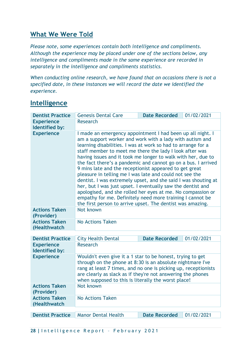### **What We Were Told**

*Please note, some experiences contain both intelligence and compliments. Although the experience may be placed under one of the sections below, any intelligence and compliments made in the same experience are recorded in separately in the intelligence and compliments statistics.*

*When conducting online research, we have found that on occasions there is not a specified date, in these instances we will record the date we identified the experience.*

### **Intelligence**

| <b>Dentist Practice</b>              | <b>Genesis Dental Care</b>                                                                                                                                                                                                                                                                                                                                                                                                                                                                                                                                                                                                                                                                                                                                                                                                         | <b>Date Recorded</b> | 01/02/2021 |
|--------------------------------------|------------------------------------------------------------------------------------------------------------------------------------------------------------------------------------------------------------------------------------------------------------------------------------------------------------------------------------------------------------------------------------------------------------------------------------------------------------------------------------------------------------------------------------------------------------------------------------------------------------------------------------------------------------------------------------------------------------------------------------------------------------------------------------------------------------------------------------|----------------------|------------|
| <b>Experience</b><br>Identified by:  | Research                                                                                                                                                                                                                                                                                                                                                                                                                                                                                                                                                                                                                                                                                                                                                                                                                           |                      |            |
| <b>Experience</b>                    | I made an emergency appointment I had been up all night. I<br>am a support worker and work with a lady with autism and<br>learning disabilities. I was at work so had to arrange for a<br>staff member to meet me there the lady I look after was<br>having issues and it took me longer to walk with her, due to<br>the fact there's a pandemic and cannot go on a bus. I arrived<br>9 mins late and the receptionist appeared to get great<br>pleasure in telling me I was late and could not see the<br>dentist. I was extremely upset, and she said I was shouting at<br>her, but I was just upset. I eventually saw the dentist and<br>apologised, and she rolled her eyes at me. No compassion or<br>empathy for me. Definitely need more training I cannot be<br>the first person to arrive upset. The dentist was amazing. |                      |            |
| <b>Actions Taken</b><br>(Provider)   | Not known                                                                                                                                                                                                                                                                                                                                                                                                                                                                                                                                                                                                                                                                                                                                                                                                                          |                      |            |
| <b>Actions Taken</b><br>(Healthwatch | <b>No Actions Taken</b>                                                                                                                                                                                                                                                                                                                                                                                                                                                                                                                                                                                                                                                                                                                                                                                                            |                      |            |
| <b>Dentist Practice</b>              | <b>City Health Dental</b>                                                                                                                                                                                                                                                                                                                                                                                                                                                                                                                                                                                                                                                                                                                                                                                                          | <b>Date Recorded</b> | 01/02/2021 |
| <b>Experience</b><br>Identified by:  | <b>Research</b>                                                                                                                                                                                                                                                                                                                                                                                                                                                                                                                                                                                                                                                                                                                                                                                                                    |                      |            |
| <b>Experience</b>                    | Wouldn't even give it a 1 star to be honest, trying to get<br>through on the phone at 8:30 is an absolute nightmare I've<br>rang at least 7 times, and no one is picking up, receptionists<br>are clearly as slack as if they're not answering the phones<br>when supposed to this is literally the worst place!                                                                                                                                                                                                                                                                                                                                                                                                                                                                                                                   |                      |            |
| <b>Actions Taken</b><br>(Provider)   | Not known                                                                                                                                                                                                                                                                                                                                                                                                                                                                                                                                                                                                                                                                                                                                                                                                                          |                      |            |
| <b>Actions Taken</b><br>(Healthwatch | <b>No Actions Taken</b>                                                                                                                                                                                                                                                                                                                                                                                                                                                                                                                                                                                                                                                                                                                                                                                                            |                      |            |

**Dentist Practice Manor Dental Health Date Recorded 01/02/2021**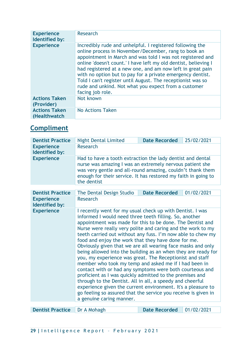| <b>Experience</b><br>Identified by:  | Research                                                                                                                                                                                                                                                                                                                                                                                                                                                                                                                  |
|--------------------------------------|---------------------------------------------------------------------------------------------------------------------------------------------------------------------------------------------------------------------------------------------------------------------------------------------------------------------------------------------------------------------------------------------------------------------------------------------------------------------------------------------------------------------------|
| <b>Experience</b>                    | Incredibly rude and unhelpful. I registered following the<br>online process in November/December, rang to book an<br>appointment in March and was told I was not registered and<br>online 'doesn't count.' I have left my old dentist, believing I<br>had registered at a new one, and am now left in great pain<br>with no option but to pay for a private emergency dentist.<br>Told I can't register until August. The receptionist was so<br>rude and unkind. Not what you expect from a customer<br>facing job role. |
| <b>Actions Taken</b><br>(Provider)   | Not known                                                                                                                                                                                                                                                                                                                                                                                                                                                                                                                 |
| <b>Actions Taken</b><br>(Healthwatch | No Actions Taken                                                                                                                                                                                                                                                                                                                                                                                                                                                                                                          |

## **Compliment**

| Research<br><b>Experience</b><br>Identified by:<br><b>Experience</b><br>Had to have a tooth extraction the lady dentist and dental<br>nurse was amazing I was an extremely nervous patient she<br>was very gentle and all-round amazing, couldn't thank them<br>enough for their service. It has restored my faith in going to<br>the dentist<br>01/02/2021<br><b>Date Recorded</b><br><b>Dentist Practice</b><br>The Dental Design Studio<br>Research<br><b>Experience</b><br>Identified by:<br><b>Experience</b><br>I recently went for my usual check up with Dentist. I was<br>informed I would need three teeth filling. So, another<br>appointment was made for this to be done. The Dentist and<br>Nurse were really very polite and caring and the work to my<br>teeth carried out without any fuss. I'm now able to chew my<br>food and enjoy the work that they have done for me.<br>Obviously given that we are all wearing face masks and only<br>being allowed into the building as an when they are ready for<br>you, my experience was great. The Receptionist and staff<br>member who took my temp and asked me if I had been in<br>contact with or had any symptoms were both courteous and<br>proficient as I was quickly admitted to the premises and<br>through to the Dentist. All in all, a speedy and cheerful<br>experience given the current environment. It's a pleasure to<br>go feeling so assured that the service you receive is given in<br>a genuine caring manner. | <b>Dentist Practice</b> | <b>Night Dental Limited</b> | <b>Date Recorded</b> | 25/02/2021 |
|-----------------------------------------------------------------------------------------------------------------------------------------------------------------------------------------------------------------------------------------------------------------------------------------------------------------------------------------------------------------------------------------------------------------------------------------------------------------------------------------------------------------------------------------------------------------------------------------------------------------------------------------------------------------------------------------------------------------------------------------------------------------------------------------------------------------------------------------------------------------------------------------------------------------------------------------------------------------------------------------------------------------------------------------------------------------------------------------------------------------------------------------------------------------------------------------------------------------------------------------------------------------------------------------------------------------------------------------------------------------------------------------------------------------------------------------------------------------------------------------------------|-------------------------|-----------------------------|----------------------|------------|
|                                                                                                                                                                                                                                                                                                                                                                                                                                                                                                                                                                                                                                                                                                                                                                                                                                                                                                                                                                                                                                                                                                                                                                                                                                                                                                                                                                                                                                                                                                     |                         |                             |                      |            |
|                                                                                                                                                                                                                                                                                                                                                                                                                                                                                                                                                                                                                                                                                                                                                                                                                                                                                                                                                                                                                                                                                                                                                                                                                                                                                                                                                                                                                                                                                                     |                         |                             |                      |            |
|                                                                                                                                                                                                                                                                                                                                                                                                                                                                                                                                                                                                                                                                                                                                                                                                                                                                                                                                                                                                                                                                                                                                                                                                                                                                                                                                                                                                                                                                                                     |                         |                             |                      |            |
|                                                                                                                                                                                                                                                                                                                                                                                                                                                                                                                                                                                                                                                                                                                                                                                                                                                                                                                                                                                                                                                                                                                                                                                                                                                                                                                                                                                                                                                                                                     |                         |                             |                      |            |
|                                                                                                                                                                                                                                                                                                                                                                                                                                                                                                                                                                                                                                                                                                                                                                                                                                                                                                                                                                                                                                                                                                                                                                                                                                                                                                                                                                                                                                                                                                     |                         |                             |                      |            |
|                                                                                                                                                                                                                                                                                                                                                                                                                                                                                                                                                                                                                                                                                                                                                                                                                                                                                                                                                                                                                                                                                                                                                                                                                                                                                                                                                                                                                                                                                                     |                         |                             |                      |            |
|                                                                                                                                                                                                                                                                                                                                                                                                                                                                                                                                                                                                                                                                                                                                                                                                                                                                                                                                                                                                                                                                                                                                                                                                                                                                                                                                                                                                                                                                                                     |                         |                             |                      |            |

**Dentist Practice** Dr A Mohagh **Date Recorded** 01/02/2021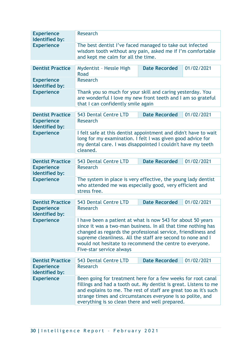| <b>Experience</b><br>Identified by:        | <b>Research</b>                                                                                                                                                                                                                                                                                                                                     |                      |            |
|--------------------------------------------|-----------------------------------------------------------------------------------------------------------------------------------------------------------------------------------------------------------------------------------------------------------------------------------------------------------------------------------------------------|----------------------|------------|
| <b>Experience</b>                          | The best dentist I've faced managed to take out infected<br>wisdom tooth without any pain, asked me if I'm comfortable<br>and kept me calm for all the time.                                                                                                                                                                                        |                      |            |
| <b>Dentist Practice</b>                    | Mydentist - Hessle High                                                                                                                                                                                                                                                                                                                             | <b>Date Recorded</b> | 01/02/2021 |
|                                            | Road                                                                                                                                                                                                                                                                                                                                                |                      |            |
| <b>Experience</b><br>Identified by:        | <b>Research</b>                                                                                                                                                                                                                                                                                                                                     |                      |            |
| <b>Experience</b>                          | Thank you so much for your skill and caring yesterday. You<br>are wonderful I love my new front teeth and I am so grateful<br>that I can confidently smile again                                                                                                                                                                                    |                      |            |
| <b>Dentist Practice</b>                    | 543 Dental Centre LTD                                                                                                                                                                                                                                                                                                                               | <b>Date Recorded</b> | 01/02/2021 |
| <b>Experience</b><br><b>Identified by:</b> | <b>Research</b>                                                                                                                                                                                                                                                                                                                                     |                      |            |
| <b>Experience</b>                          | I felt safe at this dentist appointment and didn't have to wait<br>long for my examination. I felt I was given good advice for<br>my dental care. I was disappointed I couldn't have my teeth<br>cleaned.                                                                                                                                           |                      |            |
| <b>Dentist Practice</b>                    | 543 Dental Centre LTD                                                                                                                                                                                                                                                                                                                               | <b>Date Recorded</b> | 01/02/2021 |
| <b>Experience</b><br>Identified by:        | Research                                                                                                                                                                                                                                                                                                                                            |                      |            |
| <b>Experience</b>                          | The system in place is very effective, the young lady dentist<br>who attended me was especially good, very efficient and<br>stress free.                                                                                                                                                                                                            |                      |            |
| <b>Dentist Practice</b>                    | 543 Dental Centre LTD                                                                                                                                                                                                                                                                                                                               | <b>Date Recorded</b> | 01/02/2021 |
| <b>Experience</b><br>Identified by:        | Research                                                                                                                                                                                                                                                                                                                                            |                      |            |
| <b>Experience</b>                          | I have been a patient at what is now 543 for about 50 years<br>since it was a two-man business. In all that time nothing has<br>changed as regards the professional service, friendliness and<br>supreme cleanliness. All the staff are second to none and I<br>would not hesitate to recommend the centre to everyone.<br>Five-star service always |                      |            |
| <b>Dentist Practice</b>                    | 543 Dental Centre LTD                                                                                                                                                                                                                                                                                                                               | <b>Date Recorded</b> | 01/02/2021 |
| <b>Experience</b><br>Identified by:        | <b>Research</b>                                                                                                                                                                                                                                                                                                                                     |                      |            |
| <b>Experience</b>                          | Been going for treatment here for a few weeks for root canal<br>fillings and had a tooth out. My dentist is great. Listens to me<br>and explains to me. The rest of staff are great too as it's such<br>strange times and circumstances everyone is so polite, and<br>everything is so clean there and well prepared.                               |                      |            |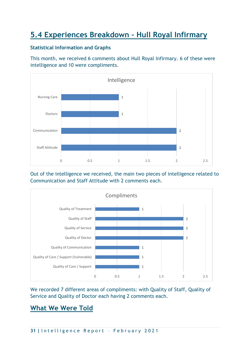## **5.4 Experiences Breakdown – Hull Royal Infirmary**

#### **Statistical Information and Graphs**

This month, we received 6 comments about Hull Royal Infirmary. 6 of these were intelligence and 10 were compliments.



Out of the intelligence we received, the main two pieces of intelligence related to Communication and Staff Attitude with 2 comments each.



We recorded 7 different areas of compliments: with Quality of Staff, Quality of Service and Quality of Doctor each having 2 comments each.

## **What We Were Told**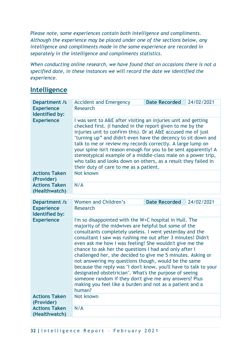*Please note, some experiences contain both intelligence and compliments. Although the experience may be placed under one of the sections below, any intelligence and compliments made in the same experience are recorded in separately in the intelligence and compliments statistics.*

*When conducting online research, we have found that on occasions there is not a specified date, in these instances we will record the date we identified the experience.*

## **Intelligence**

| <b>Department /s</b>                       | <b>Accident and Emergency</b>                                                                                                                                                                                                                                                                                                                                                                                                                                                                                                                                                                                                                                                                                                                       | <b>Date Recorded</b> | 24/02/2021 |
|--------------------------------------------|-----------------------------------------------------------------------------------------------------------------------------------------------------------------------------------------------------------------------------------------------------------------------------------------------------------------------------------------------------------------------------------------------------------------------------------------------------------------------------------------------------------------------------------------------------------------------------------------------------------------------------------------------------------------------------------------------------------------------------------------------------|----------------------|------------|
| <b>Experience</b><br><b>Identified by:</b> | <b>Research</b>                                                                                                                                                                                                                                                                                                                                                                                                                                                                                                                                                                                                                                                                                                                                     |                      |            |
| <b>Experience</b>                          | I was sent to A&E after visiting an injuries unit and getting<br>checked first. (I handed in the report given to me by the<br>injuries unit to confirm this). Dr at A&E accused me of just<br>"turning up" and didn't even have the decency to sit down and<br>talk to me or review my records correctly. A large lump on<br>your spine isn't reason enough for you to be sent apparently! A<br>stereotypical example of a middle-class male on a power trip,<br>who talks and looks down on others, as a result they failed in<br>their duty of care to me as a patient.                                                                                                                                                                           |                      |            |
| <b>Actions Taken</b><br>(Provider)         | Not known                                                                                                                                                                                                                                                                                                                                                                                                                                                                                                                                                                                                                                                                                                                                           |                      |            |
| <b>Actions Taken</b><br>(Healthwatch)      | N/A                                                                                                                                                                                                                                                                                                                                                                                                                                                                                                                                                                                                                                                                                                                                                 |                      |            |
| Department /s                              | Women and Children's                                                                                                                                                                                                                                                                                                                                                                                                                                                                                                                                                                                                                                                                                                                                | <b>Date Recorded</b> | 24/02/2021 |
| <b>Experience</b><br><b>Identified by:</b> | Research                                                                                                                                                                                                                                                                                                                                                                                                                                                                                                                                                                                                                                                                                                                                            |                      |            |
| <b>Experience</b>                          | I'm so disappointed with the W+C hospital in Hull. The<br>majority of the midwives are helpful but some of the<br>consultants completely useless. I went yesterday and the<br>consultant I saw was rushing me out after 3 minutes! Didn't<br>even ask me how I was feeling! She wouldn't give me the<br>chance to ask her the questions I had and only after I<br>challenged her, she decided to give me 5 minutes. Asking or<br>not answering my questions though, would be the same<br>because the reply was "I don't know, you'll have to talk to your<br>designated obstetrician". What's the purpose of seeing<br>someone random if they don't give me any answers? Plus<br>making you feel like a burden and not as a patient and a<br>human? |                      |            |
| <b>Actions Taken</b><br>(Provider)         | Not known                                                                                                                                                                                                                                                                                                                                                                                                                                                                                                                                                                                                                                                                                                                                           |                      |            |
| <b>Actions Taken</b><br>(Healthwatch)      | N/A                                                                                                                                                                                                                                                                                                                                                                                                                                                                                                                                                                                                                                                                                                                                                 |                      |            |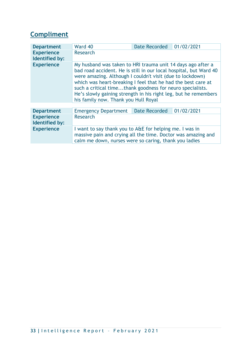## **Compliment**

| <b>Department</b>                   | Ward 40                                                                                                                                                                                                                                                                                                                                                                                                                               | <b>Date Recorded</b> | 01/02/2021 |
|-------------------------------------|---------------------------------------------------------------------------------------------------------------------------------------------------------------------------------------------------------------------------------------------------------------------------------------------------------------------------------------------------------------------------------------------------------------------------------------|----------------------|------------|
| <b>Experience</b><br>Identified by: | <b>Research</b>                                                                                                                                                                                                                                                                                                                                                                                                                       |                      |            |
| <b>Experience</b>                   | My husband was taken to HRI trauma unit 14 days ago after a<br>bad road accident. He is still in our local hospital, but Ward 40<br>were amazing. Although I couldn't visit (due to lockdown)<br>which was heart-breaking I feel that he had the best care at<br>such a critical timethank goodness for neuro specialists.<br>He's slowly gaining strength in his right leg, but he remembers<br>his family now. Thank you Hull Royal |                      |            |
|                                     |                                                                                                                                                                                                                                                                                                                                                                                                                                       |                      |            |
| <b>Department</b>                   | <b>Emergency Department</b>                                                                                                                                                                                                                                                                                                                                                                                                           | <b>Date Recorded</b> | 01/02/2021 |
| <b>Experience</b><br>Identified by: | <b>Research</b>                                                                                                                                                                                                                                                                                                                                                                                                                       |                      |            |
| <b>Experience</b>                   | I want to say thank you to A&E for helping me. I was in<br>massive pain and crying all the time. Doctor was amazing and<br>calm me down, nurses were so caring, thank you ladies                                                                                                                                                                                                                                                      |                      |            |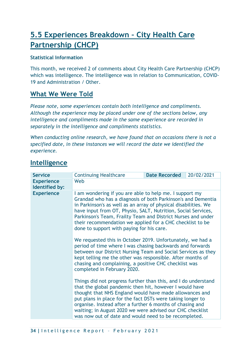## **5.5 Experiences Breakdown – City Health Care Partnership (CHCP)**

#### **Statistical Information**

This month, we received 2 of comments about City Health Care Partnership (CHCP) which was intelligence. The intelligence was in relation to Communication, COVID-19 and Administration / Other.

### **What We Were Told**

*Please note, some experiences contain both intelligence and compliments. Although the experience may be placed under one of the sections below, any intelligence and compliments made in the same experience are recorded in separately in the intelligence and compliments statistics.*

*When conducting online research, we have found that on occasions there is not a specified date, in these instances we will record the date we identified the experience.*

## **Intelligence**

| <b>Service</b>                      | <b>Continuing Healthcare</b>                                                                                                                                                                                                                                                                                                                                                                                                          | <b>Date Recorded</b> | 20/02/2021 |
|-------------------------------------|---------------------------------------------------------------------------------------------------------------------------------------------------------------------------------------------------------------------------------------------------------------------------------------------------------------------------------------------------------------------------------------------------------------------------------------|----------------------|------------|
| <b>Experience</b><br>Identified by: | Web                                                                                                                                                                                                                                                                                                                                                                                                                                   |                      |            |
| <b>Experience</b>                   | I am wondering if you are able to help me. I support my<br>Grandad who has a diagnosis of both Parkinson's and Dementia<br>in Parkinson's as well as an array of physical disabilities. We<br>have input from OT, Physio, SALT, Nutrition, Social Services,<br>Parkinson's Team, Frailty Team and District Nurses and under<br>their recommendation we applied for a CHC checklist to be<br>done to support with paying for his care. |                      |            |
|                                     | We requested this in October 2019. Unfortunately, we had a<br>period of time where I was chasing backwards and forwards<br>between our District Nursing Team and Social Services as they<br>kept telling me the other was responsible. After months of<br>chasing and complaining, a positive CHC checklist was<br>completed in February 2020.                                                                                        |                      |            |
|                                     | Things did not progress further than this, and I do understand<br>that the global pandemic then hit, however I would have<br>thought that NHS England would have made allowances and<br>put plans in place for the fact DSTs were taking longer to<br>organise. Instead after a further 6 months of chasing and<br>waiting; in August 2020 we were advised our CHC checklist<br>was now out of date and would need to be recompleted. |                      |            |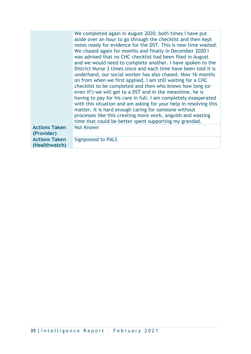|                                       | We completed again in August 2020; both times I have put<br>aside over an hour to go through the checklist and then kept<br>notes ready for evidence for the DST. This is now time wasted.<br>We chased again for months and finally in December 2020 I<br>was advised that no CHC checklist had been filed in August<br>and we would need to complete another. I have spoken to the<br>District Nurse 3 times since and each time have been told it is<br>underhand, our social worker has also chased. Now 16 months<br>on from when we first applied, I am still waiting for a CHC<br>checklist to be completed and then who knows how long (or<br>even if!) we will get to a DST and in the meantime, he is<br>having to pay for his care in full. I am completely exasperated<br>with this situation and am asking for your help in resolving this<br>matter. It is hard enough caring for someone without<br>processes like this creating more work, anguish and wasting<br>time that could be better spent supporting my grandad. |
|---------------------------------------|------------------------------------------------------------------------------------------------------------------------------------------------------------------------------------------------------------------------------------------------------------------------------------------------------------------------------------------------------------------------------------------------------------------------------------------------------------------------------------------------------------------------------------------------------------------------------------------------------------------------------------------------------------------------------------------------------------------------------------------------------------------------------------------------------------------------------------------------------------------------------------------------------------------------------------------------------------------------------------------------------------------------------------------|
| <b>Actions Taken</b><br>(Provider)    | <b>Not Known</b>                                                                                                                                                                                                                                                                                                                                                                                                                                                                                                                                                                                                                                                                                                                                                                                                                                                                                                                                                                                                                         |
| <b>Actions Taken</b><br>(Healthwatch) | <b>Signposted to PALS</b>                                                                                                                                                                                                                                                                                                                                                                                                                                                                                                                                                                                                                                                                                                                                                                                                                                                                                                                                                                                                                |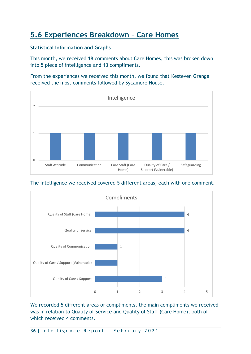## **5.6 Experiences Breakdown – Care Homes**

#### **Statistical Information and Graphs**

This month, we received 18 comments about Care Homes, this was broken down into 5 piece of intelligence and 13 compliments.

From the experiences we received this month, we found that Kesteven Grange received the most comments followed by Sycamore House.







We recorded 5 different areas of compliments, the main compliments we received was in relation to Quality of Service and Quality of Staff (Care Home); both of which received 4 comments.

**36 |** I n t e l l i g e n c e R e p o r t – F e b r u a r y 2 0 2 1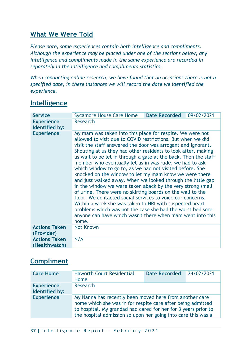## **What We Were Told**

*Please note, some experiences contain both intelligence and compliments. Although the experience may be placed under one of the sections below, any intelligence and compliments made in the same experience are recorded in separately in the intelligence and compliments statistics.*

*When conducting online research, we have found that on occasions there is not a specified date, in these instances we will record the date we identified the experience.*

| <b>Service</b>                        |                                                                                                                                                                                                                                                                                                                                                                                                                                                                                                                                                                                                                                                                                                                                                                                                                                                                                                                                                                        |                      |            |
|---------------------------------------|------------------------------------------------------------------------------------------------------------------------------------------------------------------------------------------------------------------------------------------------------------------------------------------------------------------------------------------------------------------------------------------------------------------------------------------------------------------------------------------------------------------------------------------------------------------------------------------------------------------------------------------------------------------------------------------------------------------------------------------------------------------------------------------------------------------------------------------------------------------------------------------------------------------------------------------------------------------------|----------------------|------------|
|                                       | <b>Sycamore House Care Home</b>                                                                                                                                                                                                                                                                                                                                                                                                                                                                                                                                                                                                                                                                                                                                                                                                                                                                                                                                        | <b>Date Recorded</b> | 09/02/2021 |
| <b>Experience</b><br>Identified by:   | <b>Research</b>                                                                                                                                                                                                                                                                                                                                                                                                                                                                                                                                                                                                                                                                                                                                                                                                                                                                                                                                                        |                      |            |
| <b>Experience</b>                     | My mam was taken into this place for respite. We were not<br>allowed to visit due to COVID restrictions. But when we did<br>visit the staff answered the door was arrogant and ignorant.<br>Shouting at us they had other residents to look after, making<br>us wait to be let in through a gate at the back. Then the staff<br>member who eventually let us in was rude, we had to ask<br>which window to go to, as we had not visited before. She<br>knocked on the window to let my mam know we were there<br>and just walked away. When we looked through the little gap<br>in the window we were taken aback by the very strong smell<br>of urine. There were no skirting boards on the wall to the<br>floor. We contacted social services to voice our concerns.<br>Within a week she was taken to HRI with suspected heart<br>problems which was not the case she had the worst bed sore<br>anyone can have which wasn't there when mam went into this<br>home. |                      |            |
| <b>Actions Taken</b><br>(Provider)    | <b>Not Known</b>                                                                                                                                                                                                                                                                                                                                                                                                                                                                                                                                                                                                                                                                                                                                                                                                                                                                                                                                                       |                      |            |
| <b>Actions Taken</b><br>(Healthwatch) | N/A                                                                                                                                                                                                                                                                                                                                                                                                                                                                                                                                                                                                                                                                                                                                                                                                                                                                                                                                                                    |                      |            |

## **Intelligence**

## **Compliment**

| <b>Care Home</b>                    | <b>Haworth Court Residential</b><br>Home                                                                                                                                                                                                                  | <b>Date Recorded</b> | 24/02/2021 |
|-------------------------------------|-----------------------------------------------------------------------------------------------------------------------------------------------------------------------------------------------------------------------------------------------------------|----------------------|------------|
| <b>Experience</b><br>Identified by: | Research                                                                                                                                                                                                                                                  |                      |            |
| <b>Experience</b>                   | My Nanna has recently been moved here from another care<br>home which she was in for respite care after being admitted<br>to hospital. My grandad had cared for her for 3 years prior to<br>the hospital admission so upon her going into care this was a |                      |            |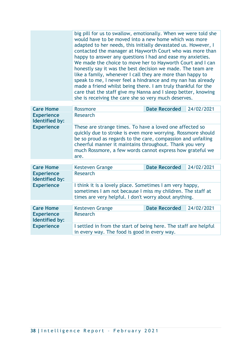| big pill for us to swallow, emotionally. When we were told she<br>would have to be moved into a new home which was more<br>adapted to her needs, this initially devastated us. However, I<br>contacted the manager at Hayworth Court who was more than<br>happy to answer any questions I had and ease my anxieties.<br>We made the choice to move her to Hayworth Court and I can<br>honestly say it was the best decision we made. The team are<br>like a family, whenever I call they are more than happy to<br>speak to me, I never feel a hindrance and my nan has already |
|---------------------------------------------------------------------------------------------------------------------------------------------------------------------------------------------------------------------------------------------------------------------------------------------------------------------------------------------------------------------------------------------------------------------------------------------------------------------------------------------------------------------------------------------------------------------------------|
| made a friend whilst being there. I am truly thankful for the<br>care that the staff give my Nanna and I sleep better, knowing                                                                                                                                                                                                                                                                                                                                                                                                                                                  |
| she is receiving the care she so very much deserves.                                                                                                                                                                                                                                                                                                                                                                                                                                                                                                                            |

| <b>Care Home</b>                    | <b>Rossmore</b>                                                                                                                                                                                                                                                                                                          | <b>Date Recorded</b> | 24/02/2021 |
|-------------------------------------|--------------------------------------------------------------------------------------------------------------------------------------------------------------------------------------------------------------------------------------------------------------------------------------------------------------------------|----------------------|------------|
| <b>Experience</b><br>Identified by: | Research                                                                                                                                                                                                                                                                                                                 |                      |            |
| <b>Experience</b>                   | These are strange times. To have a loved one affected so<br>quickly due to stroke is even more worrying. Rossmore should<br>be so proud as regards to the care, compassion and unfailing<br>cheerful manner it maintains throughout. Thank you very<br>much Rossmore, a few words cannot express how grateful we<br>are. |                      |            |
|                                     |                                                                                                                                                                                                                                                                                                                          |                      |            |
| <b>Care Home</b>                    | <b>Date Recorded</b><br>24/02/2021<br>Kesteven Grange                                                                                                                                                                                                                                                                    |                      |            |
| <b>Experience</b><br>Identified by: | <b>Research</b>                                                                                                                                                                                                                                                                                                          |                      |            |
| <b>Experience</b>                   | I think it is a lovely place. Sometimes I am very happy,<br>sometimes I am not because I miss my children. The staff at<br>times are very helpful. I don't worry about anything.                                                                                                                                         |                      |            |
|                                     |                                                                                                                                                                                                                                                                                                                          |                      |            |
| <b>Care Home</b>                    | <b>Kesteven Grange</b>                                                                                                                                                                                                                                                                                                   | <b>Date Recorded</b> | 24/02/2021 |
| <b>Experience</b><br>Identified by: | <b>Research</b>                                                                                                                                                                                                                                                                                                          |                      |            |
| <b>Experience</b>                   | I settled in from the start of being here. The staff are helpful<br>in every way. The food is good in every way.                                                                                                                                                                                                         |                      |            |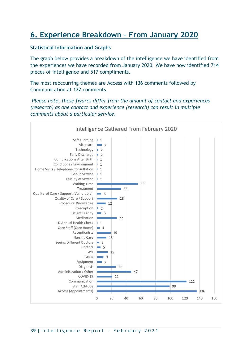## **6. Experience Breakdown – From January 2020**

#### **Statistical Information and Graphs**

The graph below provides a breakdown of the intelligence we have identified from the experiences we have recorded from January 2020. We have now identified 714 pieces of intelligence and 517 compliments.

The most reoccurring themes are Access with 136 comments followed by Communication at 122 comments.

*Please note, these figures differ from the amount of contact and experiences (research) as one contact and experience (research) can result in multiple comments about a particular service.* 

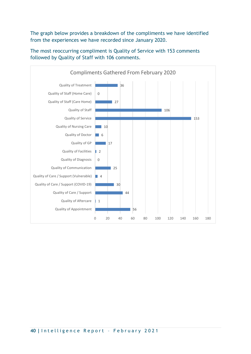The graph below provides a breakdown of the compliments we have identified from the experiences we have recorded since January 2020.



The most reoccurring compliment is Quality of Service with 153 comments followed by Quality of Staff with 106 comments.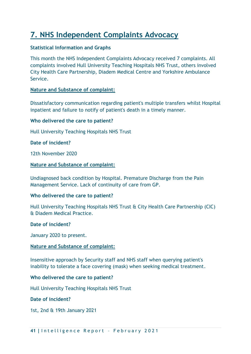## **7. NHS Independent Complaints Advocacy**

#### **Statistical Information and Graphs**

This month the NHS Independent Complaints Advocacy received 7 complaints. All complaints involved Hull University Teaching Hospitals NHS Trust, others involved City Health Care Partnership, Diadem Medical Centre and Yorkshire Ambulance Service.

#### **Nature and Substance of complaint:**

Dissatisfactory communication regarding patient's multiple transfers whilst Hospital inpatient and failure to notify of patient's death in a timely manner.

#### **Who delivered the care to patient?**

Hull University Teaching Hospitals NHS Trust

**Date of incident?**

12th November 2020

#### **Nature and Substance of complaint:**

Undiagnosed back condition by Hospital. Premature Discharge from the Pain Management Service. Lack of continuity of care from GP.

#### **Who delivered the care to patient?**

Hull University Teaching Hospitals NHS Trust & City Health Care Partnership (CIC) & Diadem Medical Practice.

#### **Date of incident?**

January 2020 to present.

#### **Nature and Substance of complaint:**

Insensitive approach by Security staff and NHS staff when querying patient's inability to tolerate a face covering (mask) when seeking medical treatment.

#### **Who delivered the care to patient?**

Hull University Teaching Hospitals NHS Trust

#### **Date of incident?**

1st, 2nd & 19th January 2021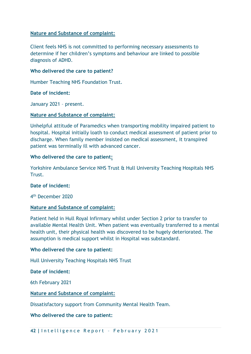#### **Nature and Substance of complaint:**

Client feels NHS is not committed to performing necessary assessments to determine if her children's symptoms and behaviour are linked to possible diagnosis of ADHD.

#### **Who delivered the care to patient?**

Humber Teaching NHS Foundation Trust.

#### **Date of incident:**

January 2021 – present.

#### **Nature and Substance of complaint:**

Unhelpful attitude of Paramedics when transporting mobility impaired patient to hospital. Hospital initially loath to conduct medical assessment of patient prior to discharge. When family member insisted on medical assessment, it transpired patient was terminally ill with advanced cancer.

#### **Who delivered the care to patient:**

Yorkshire Ambulance Service NHS Trust & Hull University Teaching Hospitals NHS Trust.

#### **Date of incident:**

4 th December 2020

#### **Nature and Substance of complaint:**

Patient held in Hull Royal Infirmary whilst under Section 2 prior to transfer to available Mental Health Unit. When patient was eventually transferred to a mental health unit, their physical health was discovered to be hugely deteriorated. The assumption is medical support whilst in Hospital was substandard.

#### **Who delivered the care to patient:**

Hull University Teaching Hospitals NHS Trust

#### **Date of incident:**

6th February 2021

#### **Nature and Substance of complaint:**

Dissatisfactory support from Community Mental Health Team.

**Who delivered the care to patient:**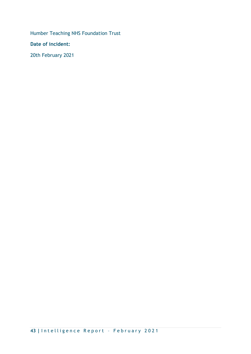Humber Teaching NHS Foundation Trust

**Date of incident:**

20th February 2021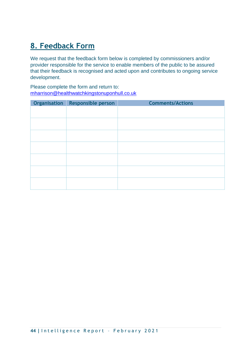## **8. Feedback Form**

We request that the feedback form below is completed by commissioners and/or provider responsible for the service to enable members of the public to be assured that their feedback is recognised and acted upon and contributes to ongoing service development.

Please complete the form and return to: [mharrison@healthwatchkingstonuponhull.co.uk](mailto:mharrison@healthwatchkingstonuponhull.co.uk)

| Organisation Responsible person | <b>Comments/Actions</b> |
|---------------------------------|-------------------------|
|                                 |                         |
|                                 |                         |
|                                 |                         |
|                                 |                         |
|                                 |                         |
|                                 |                         |
|                                 |                         |
|                                 |                         |
|                                 |                         |
|                                 |                         |
|                                 |                         |
|                                 |                         |